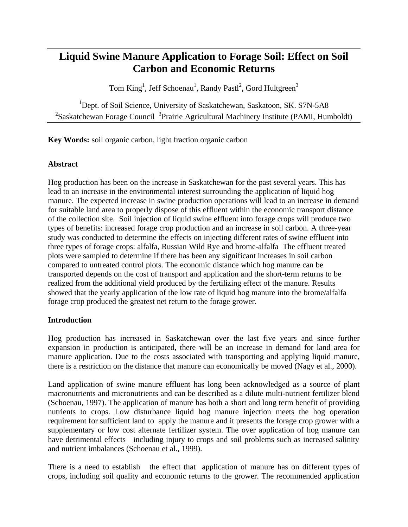# **Liquid Swine Manure Application to Forage Soil: Effect on Soil Carbon and Economic Returns**

Tom King<sup>1</sup>, Jeff Schoenau<sup>1</sup>, Randy Pastl<sup>2</sup>, Gord Hultgreen<sup>3</sup>

<sup>1</sup>Dept. of Soil Science, University of Saskatchewan, Saskatoon, SK. S7N-5A8  $2$ Saskatchewan Forage Council  $3$ Prairie Agricultural Machinery Institute (PAMI, Humboldt)

**Key Words:** soil organic carbon, light fraction organic carbon

## **Abstract**

Hog production has been on the increase in Saskatchewan for the past several years. This has lead to an increase in the environmental interest surrounding the application of liquid hog manure. The expected increase in swine production operations will lead to an increase in demand for suitable land area to properly dispose of this effluent within the economic transport distance of the collection site. Soil injection of liquid swine effluent into forage crops will produce two types of benefits: increased forage crop production and an increase in soil carbon. A three-year study was conducted to determine the effects on injecting different rates of swine effluent into three types of forage crops: alfalfa, Russian Wild Rye and brome-alfalfa The effluent treated plots were sampled to determine if there has been any significant increases in soil carbon compared to untreated control plots. The economic distance which hog manure can be transported depends on the cost of transport and application and the short-term returns to be realized from the additional yield produced by the fertilizing effect of the manure. Results showed that the yearly application of the low rate of liquid hog manure into the brome/alfalfa forage crop produced the greatest net return to the forage grower.

# **Introduction**

Hog production has increased in Saskatchewan over the last five years and since further expansion in production is anticipated, there will be an increase in demand for land area for manure application. Due to the costs associated with transporting and applying liquid manure, there is a restriction on the distance that manure can economically be moved (Nagy et al., 2000).

Land application of swine manure effluent has long been acknowledged as a source of plant macronutrients and micronutrients and can be described as a dilute multi-nutrient fertilizer blend (Schoenau, 1997). The application of manure has both a short and long term benefit of providing nutrients to crops. Low disturbance liquid hog manure injection meets the hog operation requirement for sufficient land to apply the manure and it presents the forage crop grower with a supplementary or low cost alternate fertilizer system. The over application of hog manure can have detrimental effects including injury to crops and soil problems such as increased salinity and nutrient imbalances (Schoenau et al., 1999).

There is a need to establish the effect that application of manure has on different types of crops, including soil quality and economic returns to the grower. The recommended application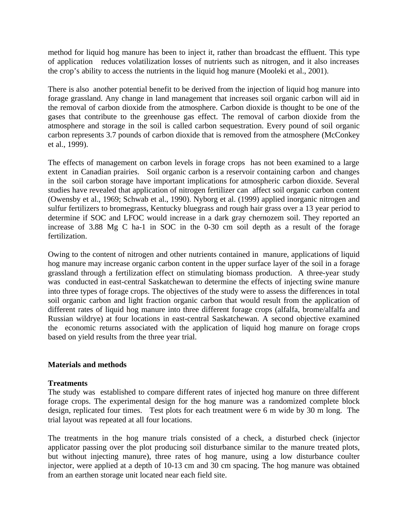method for liquid hog manure has been to inject it, rather than broadcast the effluent. This type of application reduces volatilization losses of nutrients such as nitrogen, and it also increases the crop's ability to access the nutrients in the liquid hog manure (Mooleki et al., 2001).

There is also another potential benefit to be derived from the injection of liquid hog manure into forage grassland. Any change in land management that increases soil organic carbon will aid in the removal of carbon dioxide from the atmosphere. Carbon dioxide is thought to be one of the gases that contribute to the greenhouse gas effect. The removal of carbon dioxide from the atmosphere and storage in the soil is called carbon sequestration. Every pound of soil organic carbon represents 3.7 pounds of carbon dioxide that is removed from the atmosphere (McConkey et al., 1999).

The effects of management on carbon levels in forage crops has not been examined to a large extent in Canadian prairies. Soil organic carbon is a reservoir containing carbon and changes in the soil carbon storage have important implications for atmospheric carbon dioxide. Several studies have revealed that application of nitrogen fertilizer can affect soil organic carbon content (Owensby et al., 1969; Schwab et al., 1990). Nyborg et al. (1999) applied inorganic nitrogen and sulfur fertilizers to bromegrass, Kentucky bluegrass and rough hair grass over a 13 year period to determine if SOC and LFOC would increase in a dark gray chernozem soil. They reported an increase of 3.88 Mg C ha-1 in SOC in the 0-30 cm soil depth as a result of the forage fertilization.

Owing to the content of nitrogen and other nutrients contained in manure, applications of liquid hog manure may increase organic carbon content in the upper surface layer of the soil in a forage grassland through a fertilization effect on stimulating biomass production. A three-year study was conducted in east-central Saskatchewan to determine the effects of injecting swine manure into three types of forage crops. The objectives of the study were to assess the differences in total soil organic carbon and light fraction organic carbon that would result from the application of different rates of liquid hog manure into three different forage crops (alfalfa, brome/alfalfa and Russian wildrye) at four locations in east-central Saskatchewan. A second objective examined the economic returns associated with the application of liquid hog manure on forage crops based on yield results from the three year trial.

#### **Materials and methods**

#### **Treatments**

The study was established to compare different rates of injected hog manure on three different forage crops. The experimental design for the hog manure was a randomized complete block design, replicated four times. Test plots for each treatment were 6 m wide by 30 m long. The trial layout was repeated at all four locations.

The treatments in the hog manure trials consisted of a check, a disturbed check (injector applicator passing over the plot producing soil disturbance similar to the manure treated plots, but without injecting manure), three rates of hog manure, using a low disturbance coulter injector, were applied at a depth of 10-13 cm and 30 cm spacing. The hog manure was obtained from an earthen storage unit located near each field site.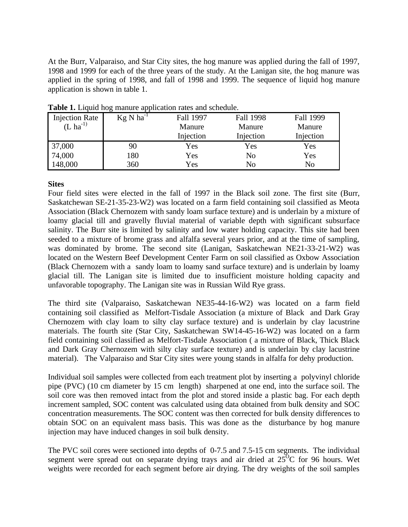At the Burr, Valparaiso, and Star City sites, the hog manure was applied during the fall of 1997, 1998 and 1999 for each of the three years of the study. At the Lanigan site, the hog manure was applied in the spring of 1998, and fall of 1998 and 1999. The sequence of liquid hog manure application is shown in table 1.

| <b>Injection Rate</b> | $Kg N ha^{-1}$ | Fall 1997 | <b>Fall 1998</b> | Fall 1999 |
|-----------------------|----------------|-----------|------------------|-----------|
| $(L \text{ ha}^{-1})$ |                | Manure    | Manure           | Manure    |
|                       |                | Injection | Injection        | Injection |
| 37,000                | 90             | Yes       | Yes              | Yes       |
| 74,000                | 180            | Yes       | No               | Yes       |
| 148,000               | 360            | Yes       | No               | No        |

**Table 1.** Liquid hog manure application rates and schedule.

## **Sites**

Four field sites were elected in the fall of 1997 in the Black soil zone. The first site (Burr, Saskatchewan SE-21-35-23-W2) was located on a farm field containing soil classified as Meota Association (Black Chernozem with sandy loam surface texture) and is underlain by a mixture of loamy glacial till and gravelly fluvial material of variable depth with significant subsurface salinity. The Burr site is limited by salinity and low water holding capacity. This site had been seeded to a mixture of brome grass and alfalfa several years prior, and at the time of sampling, was dominated by brome. The second site (Lanigan, Saskatchewan NE21-33-21-W2) was located on the Western Beef Development Center Farm on soil classified as Oxbow Association (Black Chernozem with a sandy loam to loamy sand surface texture) and is underlain by loamy glacial till. The Lanigan site is limited due to insufficient moisture holding capacity and unfavorable topography. The Lanigan site was in Russian Wild Rye grass.

The third site (Valparaiso, Saskatchewan NE35-44-16-W2) was located on a farm field containing soil classified as Melfort-Tisdale Association (a mixture of Black and Dark Gray Chernozem with clay loam to silty clay surface texture) and is underlain by clay lacustrine materials. The fourth site (Star City, Saskatchewan SW14-45-16-W2) was located on a farm field containing soil classified as Melfort-Tisdale Association ( a mixture of Black, Thick Black and Dark Gray Chernozem with silty clay surface texture) and is underlain by clay lacustrine material). The Valparaiso and Star City sites were young stands in alfalfa for dehy production.

Individual soil samples were collected from each treatment plot by inserting a polyvinyl chloride pipe (PVC) (10 cm diameter by 15 cm length) sharpened at one end, into the surface soil. The soil core was then removed intact from the plot and stored inside a plastic bag. For each depth increment sampled, SOC content was calculated using data obtained from bulk density and SOC concentration measurements. The SOC content was then corrected for bulk density differences to obtain SOC on an equivalent mass basis. This was done as the disturbance by hog manure injection may have induced changes in soil bulk density.

The PVC soil cores were sectioned into depths of 0-7.5 and 7.5-15 cm segments. The individual segment were spread out on separate drying trays and air dried at  $25^{\circ}$ C for 96 hours. Wet weights were recorded for each segment before air drying. The dry weights of the soil samples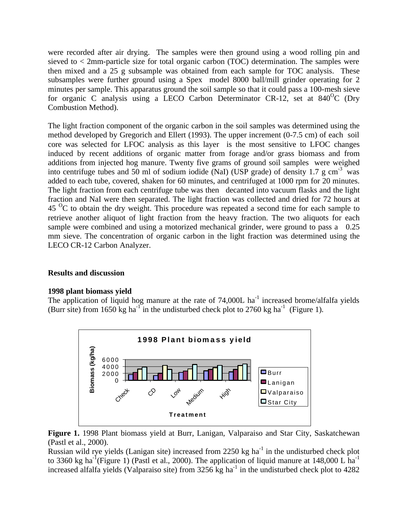were recorded after air drying. The samples were then ground using a wood rolling pin and sieved to < 2mm-particle size for total organic carbon (TOC) determination. The samples were then mixed and a 25 g subsample was obtained from each sample for TOC analysis. These subsamples were further ground using a Spex model 8000 ball/mill grinder operating for 2 minutes per sample. This apparatus ground the soil sample so that it could pass a 100-mesh sieve for organic C analysis using a LECO Carbon Determinator CR-12, set at  $840^{\circ}$ C (Dry Combustion Method).

The light fraction component of the organic carbon in the soil samples was determined using the method developed by Gregorich and Ellert (1993). The upper increment (0-7.5 cm) of each soil core was selected for LFOC analysis as this layer is the most sensitive to LFOC changes induced by recent additions of organic matter from forage and/or grass biomass and from additions from injected hog manure. Twenty five grams of ground soil samples were weighed into centrifuge tubes and 50 ml of sodium iodide (NaI) (USP grade) of density 1.7 g cm<sup>-3</sup> was added to each tube, covered, shaken for 60 minutes, and centrifuged at 1000 rpm for 20 minutes. The light fraction from each centrifuge tube was then decanted into vacuum flasks and the light fraction and NaI were then separated. The light fraction was collected and dried for 72 hours at  $45<sup>o</sup>C$  to obtain the dry weight. This procedure was repeated a second time for each sample to retrieve another aliquot of light fraction from the heavy fraction. The two aliquots for each sample were combined and using a motorized mechanical grinder, were ground to pass a 0.25 mm sieve. The concentration of organic carbon in the light fraction was determined using the LECO CR-12 Carbon Analyzer.

# **Results and discussion**

#### **1998 plant biomass yield**

The application of liquid hog manure at the rate of  $74,000L$  ha<sup>-1</sup> increased brome/alfalfa yields (Burr site) from 1650 kg ha<sup>-1</sup> in the undisturbed check plot to 2760 kg ha<sup>-1</sup> (Figure 1).



**Figure 1.** 1998 Plant biomass yield at Burr, Lanigan, Valparaiso and Star City, Saskatchewan (Pastl et al., 2000).

Russian wild rye yields (Lanigan site) increased from  $2250 \text{ kg}$  ha<sup>-1</sup> in the undisturbed check plot to 3360 kg ha<sup>-I</sup>(Figure 1) (Pastl et al., 2000). The application of liquid manure at 148,000 L ha<sup>-1</sup> increased alfalfa yields (Valparaiso site) from  $3256$  kg ha<sup>-1</sup> in the undisturbed check plot to 4282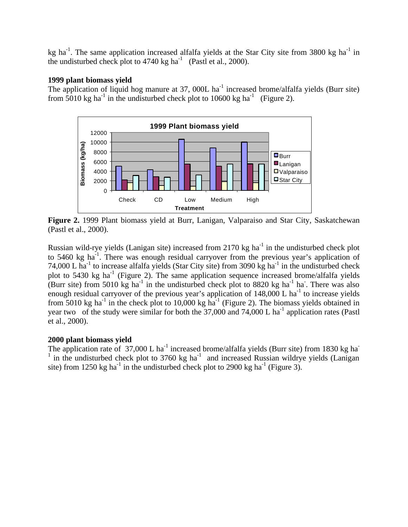kg ha<sup>-1</sup>. The same application increased alfalfa yields at the Star City site from 3800 kg ha<sup>-1</sup> in the undisturbed check plot to  $4740 \text{ kg ha}^{-1}$  (Pastl et al., 2000).

#### **1999 plant biomass yield**

The application of liquid hog manure at  $37$ , 000L ha<sup>-1</sup> increased brome/alfalfa yields (Burr site) from  $5010$  kg ha<sup>-1</sup> in the undisturbed check plot to 10600 kg ha<sup>-1</sup> (Figure 2).



**Figure 2.** 1999 Plant biomass yield at Burr, Lanigan, Valparaiso and Star City, Saskatchewan (Pastl et al., 2000).

Russian wild-rye yields (Lanigan site) increased from 2170 kg ha<sup>-1</sup> in the undisturbed check plot to 5460 kg ha<sup>-1</sup>. There was enough residual carryover from the previous year's application of 74,000 L ha<sup>-1</sup> to increase alfalfa yields (Star City site) from 3090 kg ha<sup>-1</sup> in the undisturbed check plot to 5430 kg ha<sup>-1</sup> (Figure 2). The same application sequence increased brome/alfalfa yields (Burr site) from 5010 kg ha<sup>-1</sup> in the undisturbed check plot to 8820 kg ha<sup>-1</sup> ha. There was also enough residual carryover of the previous year's application of  $148,000$  L ha<sup>-1</sup> to increase yields from 5010 kg ha<sup>-1</sup> in the check plot to 10,000 kg ha<sup>-1</sup> (Figure 2). The biomass yields obtained in year two of the study were similar for both the  $37,000$  and  $74,000$  L ha<sup>-1</sup> application rates (Pastl et al., 2000).

#### **2000 plant biomass yield**

The application rate of  $37,000$  L ha<sup>-1</sup> increased brome/alfalfa yields (Burr site) from 1830 kg ha<sup>-1</sup>  $<sup>1</sup>$  in the undisturbed check plot to 3760 kg ha<sup>-1</sup> and increased Russian wildrye yields (Lanigan</sup> site) from 1250 kg ha<sup>-1</sup> in the undisturbed check plot to 2900 kg ha<sup>-1</sup> (Figure 3).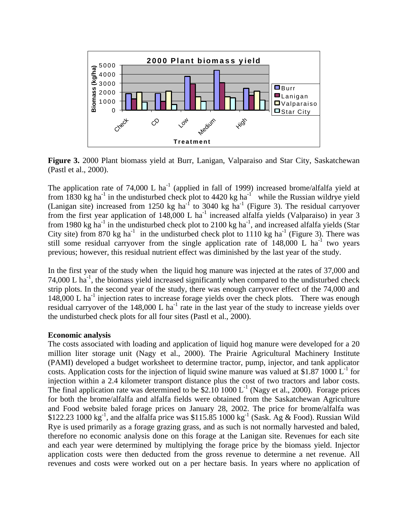

**Figure 3.** 2000 Plant biomass yield at Burr, Lanigan, Valparaiso and Star City, Saskatchewan (Pastl et al., 2000).

The application rate of 74,000 L ha<sup>-1</sup> (applied in fall of 1999) increased brome/alfalfa yield at from 1830 kg ha<sup>-1</sup> in the undisturbed check plot to 4420 kg ha<sup>-1</sup> while the Russian wildrye yield (Lanigan site) increased from 1250 kg ha<sup>-f</sup> to 3040 kg ha<sup>-1</sup> (Figure 3). The residual carryover from the first year application of  $148,000$  L ha<sup>-1</sup> increased alfalfa yields (Valparaiso) in year 3 from 1980 kg ha<sup>-1</sup> in the undisturbed check plot to 2100 kg ha<sup>-1</sup>, and increased alfalfa yields (Star City site) from 870 kg ha<sup>-1</sup> in the undisturbed check plot to 1110 kg ha<sup>-1</sup> (Figure 3). There was still some residual carryover from the single application rate of  $148,000$  L ha<sup>-1</sup> two years previous; however, this residual nutrient effect was diminished by the last year of the study.

In the first year of the study when the liquid hog manure was injected at the rates of 37,000 and 74,000 L  $ha^{-1}$ , the biomass yield increased significantly when compared to the undisturbed check strip plots. In the second year of the study, there was enough carryover effect of the 74,000 and 148,000 L ha<sup>-1</sup> injection rates to increase forage yields over the check plots. There was enough residual carryover of the  $148,000$  L ha<sup>-1</sup> rate in the last year of the study to increase yields over the undisturbed check plots for all four sites (Pastl et al., 2000).

#### **Economic analysis**

The costs associated with loading and application of liquid hog manure were developed for a 20 million liter storage unit (Nagy et al., 2000). The Prairie Agricultural Machinery Institute (PAMI) developed a budget worksheet to determine tractor, pump, injector, and tank applicator costs. Application costs for the injection of liquid swine manure was valued at \$1.87 1000  $L^{-1}$  for injection within a 2.4 kilometer transport distance plus the cost of two tractors and labor costs. The final application rate was determined to be \$2.10 1000  $L^{-1}$  (Nagy et al., 2000). Forage prices for both the brome/alfalfa and alfalfa fields were obtained from the Saskatchewan Agriculture and Food website baled forage prices on January 28, 2002. The price for brome/alfalfa was \$122.23 1000 kg<sup>-1</sup>, and the alfalfa price was \$115.85 1000 kg<sup>-1</sup> (Sask. Ag & Food). Russian Wild Rye is used primarily as a forage grazing grass, and as such is not normally harvested and baled, therefore no economic analysis done on this forage at the Lanigan site. Revenues for each site and each year were determined by multiplying the forage price by the biomass yield. Injector application costs were then deducted from the gross revenue to determine a net revenue. All revenues and costs were worked out on a per hectare basis. In years where no application of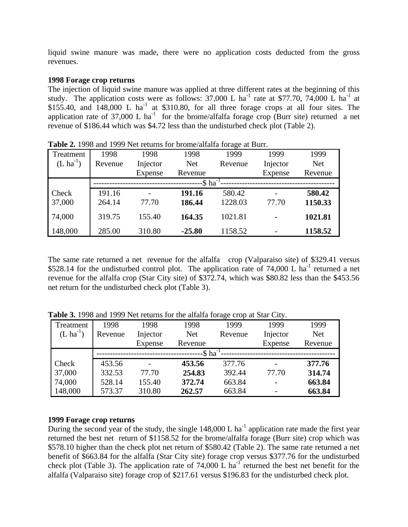liquid swine manure was made, there were no application costs deducted from the gross revenues.

#### **1998 Forage crop returns**

The injection of liquid swine manure was applied at three different rates at the beginning of this study. The application costs were as follows: 37,000 L ha<sup>-1</sup> rate at \$77.70, 74,000 L ha<sup>-1</sup> at  $$155.40$ , and  $148,000$  L ha<sup>-1</sup> at  $$310.80$ , for all three forage crops at all four sites. The application rate of 37,000 L ha<sup>-1</sup> for the brome/alfalfa forage crop (Burr site) returned a net revenue of \$186.44 which was \$4.72 less than the undisturbed check plot (Table 2).

| Treatment             | 1998    | 1998     | 1998                    | 1999    | 1999     | 1999       |
|-----------------------|---------|----------|-------------------------|---------|----------|------------|
| $(L \text{ ha}^{-1})$ | Revenue | Injector | <b>Net</b>              | Revenue | Injector | <b>Net</b> |
|                       |         | Expense  | Revenue                 |         | Expense  | Revenue    |
|                       |         |          | $-$ \$ ha <sup>-1</sup> |         |          |            |
| Check                 | 191.16  |          | 191.16                  | 580.42  |          | 580.42     |
| 37,000                | 264.14  | 77.70    | 186.44                  | 1228.03 | 77.70    | 1150.33    |
| 74,000                | 319.75  | 155.40   | 164.35                  | 1021.81 |          | 1021.81    |
| 148,000               | 285.00  | 310.80   | $-25.80$                | 1158.52 |          | 1158.52    |

**Table 2.** 1998 and 1999 Net returns for brome/alfalfa forage at Burr.

The same rate returned a net revenue for the alfalfa crop (Valparaiso site) of \$329.41 versus \$528.14 for the undisturbed control plot. The application rate of 74,000 L ha<sup>-1</sup> returned a net revenue for the alfalfa crop (Star City site) of \$372.74, which was \$80.82 less than the \$453.56 net return for the undisturbed check plot (Table 3).

| Treatment             | 1998    | 1998     | 1998                    | 1999    | 1999     | 1999       |
|-----------------------|---------|----------|-------------------------|---------|----------|------------|
| $(L \text{ ha}^{-1})$ | Revenue | Injector | <b>Net</b>              | Revenue | Injector | <b>Net</b> |
|                       |         | Expense  | Revenue                 |         | Expense  | Revenue    |
|                       |         |          | $-$ \$ ha <sup>-1</sup> |         |          |            |
| Check                 | 453.56  |          | 453.56                  | 377.76  |          | 377.76     |
| 37,000                | 332.53  | 77.70    | 254.83                  | 392.44  | 77.70    | 314.74     |
| 74,000                | 528.14  | 155.40   | 372.74                  | 663.84  |          | 663.84     |
| 148,000               | 573.37  | 310.80   | 262.57                  | 663.84  |          | 663.84     |

**Table 3.** 1998 and 1999 Net returns for the alfalfa forage crop at Star City.

#### **1999 Forage crop returns**

During the second year of the study, the single  $148,000$  L ha<sup>-1</sup> application rate made the first year returned the best net return of \$1158.52 for the brome/alfalfa forage (Burr site) crop which was \$578.10 higher than the check plot net return of \$580.42 (Table 2). The same rate returned a net benefit of \$663.84 for the alfalfa (Star City site) forage crop versus \$377.76 for the undisturbed check plot (Table 3). The application rate of  $74,000$  L ha<sup>-1</sup> returned the best net benefit for the alfalfa (Valparaiso site) forage crop of \$217.61 versus \$196.83 for the undisturbed check plot.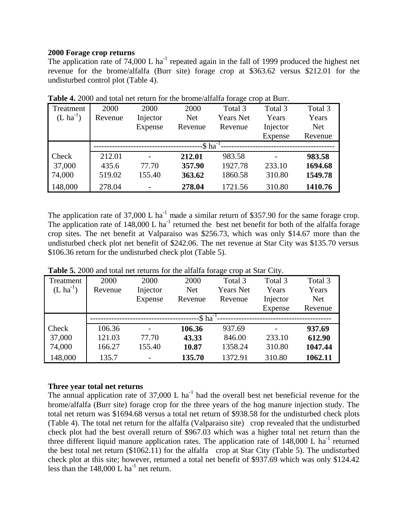#### **2000 Forage crop returns**

The application rate of  $74,000$  L ha<sup>-1</sup> repeated again in the fall of 1999 produced the highest net revenue for the brome/alfalfa (Burr site) forage crop at \$363.62 versus \$212.01 for the undisturbed control plot (Table 4).

| Treatment     | 2000    | 2000     | 2000          | Total 3          | Total 3  | Total 3    |
|---------------|---------|----------|---------------|------------------|----------|------------|
| $(L ha^{-1})$ | Revenue | Injector | <b>Net</b>    | <b>Years Net</b> | Years    | Years      |
|               |         | Expense  | Revenue       | Revenue          | Injector | <b>Net</b> |
|               |         |          |               |                  | Expense  | Revenue    |
|               |         |          | -\$ $ha^{-1}$ |                  |          |            |
| Check         | 212.01  |          | 212.01        | 983.58           |          | 983.58     |
| 37,000        | 435.6   | 77.70    | 357.90        | 1927.78          | 233.10   | 1694.68    |
| 74,000        | 519.02  | 155.40   | 363.62        | 1860.58          | 310.80   | 1549.78    |
| 148,000       | 278.04  |          | 278.04        | 1721.56          | 310.80   | 1410.76    |

**Table 4.** 2000 and total net return for the brome/alfalfa forage crop at Burr.

The application rate of 37,000 L ha<sup>-1</sup> made a similar return of \$357.90 for the same forage crop. The application rate of  $148,000$  L ha<sup>-1</sup> returned the best net benefit for both of the alfalfa forage crop sites. The net benefit at Valparaiso was \$256.73, which was only \$14.67 more than the undisturbed check plot net benefit of \$242.06. The net revenue at Star City was \$135.70 versus \$106.36 return for the undisturbed check plot (Table 5).

| Treatment             | 2000    | 2000           | 2000                    | Total 3          | Total 3  | Total 3    |
|-----------------------|---------|----------------|-------------------------|------------------|----------|------------|
| $(L \text{ ha}^{-1})$ | Revenue | Injector       | <b>Net</b>              | <b>Years Net</b> | Years    | Years      |
|                       |         | Expense        | Revenue                 | Revenue          | Injector | <b>Net</b> |
|                       |         |                |                         |                  | Expense  | Revenue    |
|                       |         |                | $-$ \$ ha <sup>-1</sup> |                  |          |            |
| Check                 | 106.36  | $\overline{a}$ | 106.36                  | 937.69           |          | 937.69     |
| 37,000                | 121.03  | 77.70          | 43.33                   | 846.00           | 233.10   | 612.90     |
| 74,000                | 166.27  | 155.40         | 10.87                   | 1358.24          | 310.80   | 1047.44    |
| 148,000               | 135.7   | $\overline{a}$ | 135.70                  | 1372.91          | 310.80   | 1062.11    |

**Table 5.** 2000 and total net returns for the alfalfa forage crop at Star City.

#### **Three year total net returns**

The annual application rate of  $37,000$  L ha<sup>-1</sup> had the overall best net beneficial revenue for the brome/alfalfa (Burr site) forage crop for the three years of the hog manure injection study. The total net return was \$1694.68 versus a total net return of \$938.58 for the undisturbed check plots (Table 4). The total net return for the alfalfa (Valparaiso site) crop revealed that the undisturbed check plot had the best overall return of \$967.03 which was a higher total net return than the three different liquid manure application rates. The application rate of  $148,000$  L ha<sup>-1</sup> returned the best total net return (\$1062.11) for the alfalfa crop at Star City (Table 5). The undisturbed check plot at this site; however, returned a total net benefit of \$937.69 which was only \$124.42 less than the  $148,000$  L ha<sup>-1</sup> net return.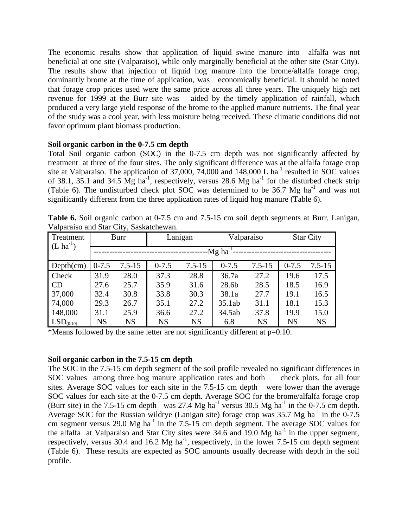The economic results show that application of liquid swine manure into alfalfa was not beneficial at one site (Valparaiso), while only marginally beneficial at the other site (Star City). The results show that injection of liquid hog manure into the brome/alfalfa forage crop, dominantly brome at the time of application, was economically beneficial. It should be noted that forage crop prices used were the same price across all three years. The uniquely high net revenue for 1999 at the Burr site was aided by the timely application of rainfall, which produced a very large yield response of the brome to the applied manure nutrients. The final year of the study was a cool year, with less moisture being received. These climatic conditions did not favor optimum plant biomass production.

## **Soil organic carbon in the 0-7.5 cm depth**

Total Soil organic carbon (SOC) in the 0-7.5 cm depth was not significantly affected by treatment at three of the four sites. The only significant difference was at the alfalfa forage crop site at Valparaiso. The application of 37,000, 74,000 and 148,000 L ha<sup>-1</sup> resulted in SOC values of 38.1, 35.1 and 34.5  $\overline{Mg}$  ha<sup>-1</sup>, respectively, versus 28.6 Mg ha<sup>-1</sup> for the disturbed check strip (Table 6). The undisturbed check plot SOC was determined to be 36.7 Mg ha<sup>-1</sup> and was not significantly different from the three application rates of liquid hog manure (Table 6).

| Treatment             |           | Burr       | Lanigan<br>Valparaiso    |            | <b>Star City</b> |            |           |            |
|-----------------------|-----------|------------|--------------------------|------------|------------------|------------|-----------|------------|
| $(L \, ha^{-1})$      |           |            | --Mg ha <sup>-1</sup> -- |            |                  |            |           |            |
| Depth(cm)             | $0 - 7.5$ | $7.5 - 15$ | $0 - 7.5$                | $7.5 - 15$ | $0 - 7.5$        | $7.5 - 15$ | $0 - 7.5$ | $7.5 - 15$ |
| Check                 | 31.9      | 28.0       | 37.3                     | 28.8       | 36.7a            | 27.2       | 19.6      | 17.5       |
| <b>CD</b>             | 27.6      | 25.7       | 35.9                     | 31.6       | 28.6b            | 28.5       | 18.5      | 16.9       |
| 37,000                | 32.4      | 30.8       | 33.8                     | 30.3       | 38.1a            | 27.7       | 19.1      | 16.5       |
| 74,000                | 29.3      | 26.7       | 35.1                     | 27.2       | 35.1ab           | 31.1       | 18.1      | 15.3       |
| 148,000               | 31.1      | 25.9       | 36.6                     | 27.2       | 34.5ab           | 37.8       | 19.9      | 15.0       |
| LSD <sub>(0.10)</sub> | <b>NS</b> | <b>NS</b>  | <b>NS</b>                | <b>NS</b>  | 6.8              | <b>NS</b>  | <b>NS</b> | <b>NS</b>  |

**Table 6.** Soil organic carbon at 0-7.5 cm and 7.5-15 cm soil depth segments at Burr, Lanigan, Valparaiso and Star City, Saskatchewan.

\*Means followed by the same letter are not significantly different at  $p=0.10$ .

#### **Soil organic carbon in the 7.5-15 cm depth**

The SOC in the 7.5-15 cm depth segment of the soil profile revealed no significant differences in SOC values among three hog manure application rates and both check plots, for all four sites. Average SOC values for each site in the 7.5-15 cm depth were lower than the average SOC values for each site at the 0-7.5 cm depth. Average SOC for the brome/alfalfa forage crop (Burr site) in the 7.5-15 cm depth was 27.4 Mg ha<sup>-1</sup> versus 30.5 Mg ha<sup>-1</sup> in the 0-7.5 cm depth. Average SOC for the Russian wildrye (Lanigan site) forage crop was  $35.7$  Mg ha<sup>-1</sup> in the 0-7.5 cm segment versus 29.0 Mg ha<sup>-1</sup> in the 7.5-15 cm depth segment. The average SOC values for the alfalfa at Valparaiso and Star City sites were 34.6 and 19.0 Mg ha<sup>-1</sup> in the upper segment, respectively, versus 30.4 and 16.2  $Mg$  ha<sup>-1</sup>, respectively, in the lower 7.5-15 cm depth segment (Table 6). These results are expected as SOC amounts usually decrease with depth in the soil profile.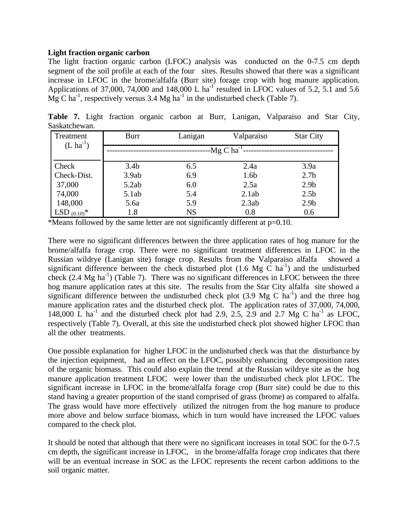#### **Light fraction organic carbon**

The light fraction organic carbon (LFOC) analysis was conducted on the 0-7.5 cm depth segment of the soil profile at each of the four sites. Results showed that there was a significant increase in LFOC in the brome/alfalfa (Burr site) forage crop with hog manure application. Applications of 37,000, 74,000 and 148,000 L ha<sup>-1</sup> resulted in LFOC values of 5.2, 5.1 and 5.6  $\overrightarrow{Mg}$  C ha<sup>-1</sup>, respectively versus 3.4 Mg ha<sup>-1</sup> in the undisturbed check (Table 7).

| Treatment<br>$(L ha^{-1})$ | Burr             | Lanigan   | Valparaiso               | <b>Star City</b> |
|----------------------------|------------------|-----------|--------------------------|------------------|
|                            |                  |           | $-Mg$ C ha <sup>-1</sup> |                  |
| Check                      | 3.4 <sub>b</sub> | 6.5       | 2.4a                     | 3.9a             |
| Check-Dist.                | 3.9ab            | 6.9       | 1.6b                     | 2.7 <sub>b</sub> |
| 37,000                     | 5.2ab            | 6.0       | 2.5a                     | 2.9 <sub>b</sub> |
| 74,000                     | 5.1ab            | 5.4       | 2.1ab                    | 2.5 <sub>b</sub> |
| 148,000                    | 5.6a             | 5.9       | 2.3ab                    | 2.9 <sub>b</sub> |
| LSD $(0.10)^*$             | 1.8              | <b>NS</b> | 0.8                      | 0.6              |

**Table 7.** Light fraction organic carbon at Burr, Lanigan, Valparaiso and Star City, Saskatchewan.

\*Means followed by the same letter are not significantly different at p=0.10.

There were no significant differences between the three application rates of hog manure for the brome/alfalfa forage crop. There were no significant treatment differences in LFOC in the Russian wildrye (Lanigan site) forage crop. Results from the Valparaiso alfalfa showed a significant difference between the check disturbed plot  $(1.6 \text{ Mg} \text{ C} \text{ ha}^{-1})$  and the undisturbed check  $(2.4 \text{ Mg ha}^{-1})$  (Table 7). There was no significant differences in LFOC between the three hog manure application rates at this site. The results from the Star City alfalfa site showed a significant difference between the undisturbed check plot  $(3.9 \text{ Mg C ha}^{-1})$  and the three hog manure application rates and the disturbed check plot. The application rates of 37,000, 74,000, 148,000 L ha<sup>-1</sup> and the disturbed check plot had 2.9, 2.5, 2.9 and 2.7 Mg C ha<sup>-1</sup> as LFOC, respectively (Table 7). Overall, at this site the undisturbed check plot showed higher LFOC than all the other treatments.

One possible explanation for higher LFOC in the undisturbed check was that the disturbance by the injection equipment, had an effect on the LFOC, possibly enhancing decomposition rates of the organic biomass. This could also explain the trend at the Russian wildrye site as the hog manure application treatment LFOC were lower than the undisturbed check plot LFOC. The significant increase in LFOC in the brome/alfalfa forage crop (Burr site) could be due to this stand having a greater proportion of the stand comprised of grass (brome) as compared to alfalfa. The grass would have more effectively utilized the nitrogen from the hog manure to produce more above and below surface biomass, which in turn would have increased the LFOC values compared to the check plot.

It should be noted that although that there were no significant increases in total SOC for the 0-7.5 cm depth, the significant increase in LFOC, in the brome/alfalfa forage crop indicates that there will be an eventual increase in SOC as the LFOC represents the recent carbon additions to the soil organic matter.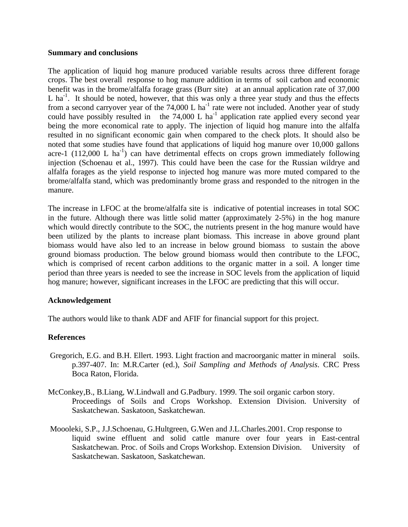#### **Summary and conclusions**

The application of liquid hog manure produced variable results across three different forage crops. The best overall response to hog manure addition in terms of soil carbon and economic benefit was in the brome/alfalfa forage grass (Burr site) at an annual application rate of 37,000 L ha<sup>-1</sup>. It should be noted, however, that this was only a three year study and thus the effects from a second carryover year of the  $74,000$  L ha<sup>-1</sup> rate were not included. Another year of study could have possibly resulted in the  $74,000$  L ha<sup>-1</sup> application rate applied every second year being the more economical rate to apply. The injection of liquid hog manure into the alfalfa resulted in no significant economic gain when compared to the check plots. It should also be noted that some studies have found that applications of liquid hog manure over 10,000 gallons acre-1  $(112,000 \text{ L ha}^{-1})$  can have detrimental effects on crops grown immediately following injection (Schoenau et al., 1997). This could have been the case for the Russian wildrye and alfalfa forages as the yield response to injected hog manure was more muted compared to the brome/alfalfa stand, which was predominantly brome grass and responded to the nitrogen in the manure.

The increase in LFOC at the brome/alfalfa site is indicative of potential increases in total SOC in the future. Although there was little solid matter (approximately 2-5%) in the hog manure which would directly contribute to the SOC, the nutrients present in the hog manure would have been utilized by the plants to increase plant biomass. This increase in above ground plant biomass would have also led to an increase in below ground biomass to sustain the above ground biomass production. The below ground biomass would then contribute to the LFOC, which is comprised of recent carbon additions to the organic matter in a soil. A longer time period than three years is needed to see the increase in SOC levels from the application of liquid hog manure; however, significant increases in the LFOC are predicting that this will occur.

#### **Acknowledgement**

The authors would like to thank ADF and AFIF for financial support for this project.

#### **References**

- Gregorich, E.G. and B.H. Ellert. 1993. Light fraction and macroorganic matter in mineral soils. p.397-407. In: M.R.Carter (ed.), *Soil Sampling and Methods of Analysis*. CRC Press Boca Raton, Florida.
- McConkey,B., B.Liang, W.Lindwall and G.Padbury. 1999. The soil organic carbon story. Proceedings of Soils and Crops Workshop. Extension Division. University of Saskatchewan. Saskatoon, Saskatchewan.
- Moooleki, S.P., J.J.Schoenau, G.Hultgreen, G.Wen and J.L.Charles.2001. Crop response to liquid swine effluent and solid cattle manure over four years in East-central Saskatchewan. Proc. of Soils and Crops Workshop. Extension Division. University of Saskatchewan. Saskatoon, Saskatchewan.